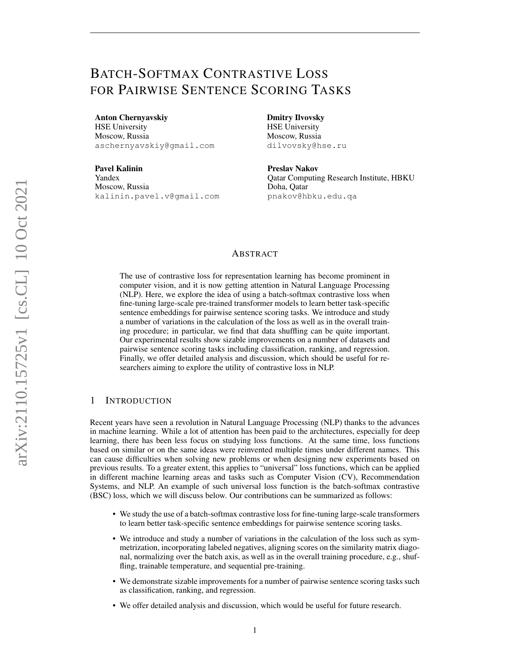# BATCH-SOFTMAX CONTRASTIVE LOSS FOR PAIRWISE SENTENCE SCORING TASKS

#### Anton Chernyavskiy

HSE University Moscow, Russia aschernyavskiy@gmail.com

Pavel Kalinin Yandex Moscow, Russia kalinin.pavel.v@gmail.com Dmitry Ilvovsky

HSE University Moscow, Russia dilvovsky@hse.ru

Preslav Nakov Qatar Computing Research Institute, HBKU Doha, Qatar pnakov@hbku.edu.qa

# ABSTRACT

The use of contrastive loss for representation learning has become prominent in computer vision, and it is now getting attention in Natural Language Processing (NLP). Here, we explore the idea of using a batch-softmax contrastive loss when fine-tuning large-scale pre-trained transformer models to learn better task-specific sentence embeddings for pairwise sentence scoring tasks. We introduce and study a number of variations in the calculation of the loss as well as in the overall training procedure; in particular, we find that data shuffling can be quite important. Our experimental results show sizable improvements on a number of datasets and pairwise sentence scoring tasks including classification, ranking, and regression. Finally, we offer detailed analysis and discussion, which should be useful for researchers aiming to explore the utility of contrastive loss in NLP.

# 1 INTRODUCTION

Recent years have seen a revolution in Natural Language Processing (NLP) thanks to the advances in machine learning. While a lot of attention has been paid to the architectures, especially for deep learning, there has been less focus on studying loss functions. At the same time, loss functions based on similar or on the same ideas were reinvented multiple times under different names. This can cause difficulties when solving new problems or when designing new experiments based on previous results. To a greater extent, this applies to "universal" loss functions, which can be applied in different machine learning areas and tasks such as Computer Vision (CV), Recommendation Systems, and NLP. An example of such universal loss function is the batch-softmax contrastive (BSC) loss, which we will discuss below. Our contributions can be summarized as follows:

- We study the use of a batch-softmax contrastive loss for fine-tuning large-scale transformers to learn better task-specific sentence embeddings for pairwise sentence scoring tasks.
- We introduce and study a number of variations in the calculation of the loss such as symmetrization, incorporating labeled negatives, aligning scores on the similarity matrix diagonal, normalizing over the batch axis, as well as in the overall training procedure, e.g., shuffling, trainable temperature, and sequential pre-training.
- We demonstrate sizable improvements for a number of pairwise sentence scoring tasks such as classification, ranking, and regression.
- We offer detailed analysis and discussion, which would be useful for future research.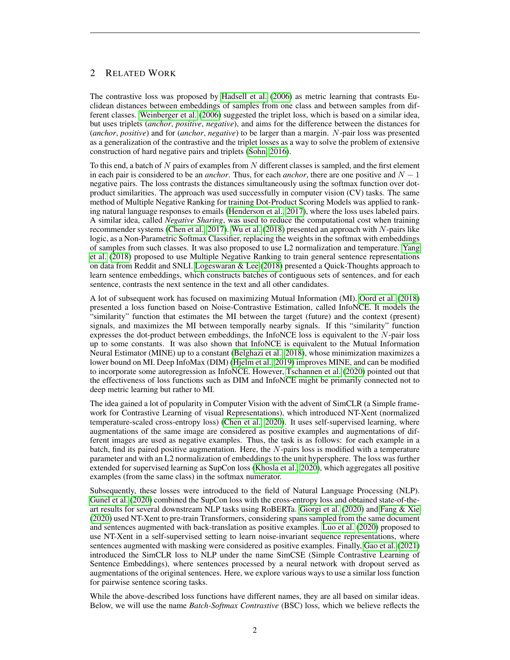# 2 RELATED WORK

The contrastive loss was proposed by [Hadsell et al.](#page-9-0) [\(2006\)](#page-9-0) as metric learning that contrasts Euclidean distances between embeddings of samples from one class and between samples from different classes. [Weinberger et al.](#page-10-0) [\(2006\)](#page-10-0) suggested the triplet loss, which is based on a similar idea, but uses triplets (*anchor*, *positive*, *negative*), and aims for the difference between the distances for (*anchor*, *positive*) and for (*anchor*, *negative*) to be larger than a margin. N-pair loss was presented as a generalization of the contrastive and the triplet losses as a way to solve the problem of extensive construction of hard negative pairs and triplets [\(Sohn, 2016\)](#page-10-1).

To this end, a batch of  $N$  pairs of examples from  $N$  different classes is sampled, and the first element in each pair is considered to be an *anchor*. Thus, for each *anchor*, there are one positive and  $N - 1$ negative pairs. The loss contrasts the distances simultaneously using the softmax function over dotproduct similarities. The approach was used successfully in computer vision (CV) tasks. The same method of Multiple Negative Ranking for training Dot-Product Scoring Models was applied to ranking natural language responses to emails [\(Henderson et al., 2017\)](#page-9-1), where the loss uses labeled pairs. A similar idea, called *Negative Sharing*, was used to reduce the computational cost when training recommender systems [\(Chen et al., 2017\)](#page-9-2). [Wu et al.](#page-10-2) [\(2018\)](#page-10-2) presented an approach with N-pairs like logic, as a Non-Parametric Softmax Classifier, replacing the weights in the softmax with embeddings of samples from such classes. It was also proposed to use L2 normalization and temperature. [Yang](#page-10-3) [et al.](#page-10-3) [\(2018\)](#page-10-3) proposed to use Multiple Negative Ranking to train general sentence representations on data from Reddit and SNLI. [Logeswaran & Lee](#page-10-4) [\(2018\)](#page-10-4) presented a Quick-Thoughts approach to learn sentence embeddings, which constructs batches of contiguous sets of sentences, and for each sentence, contrasts the next sentence in the text and all other candidates.

A lot of subsequent work has focused on maximizing Mutual Information (MI). [Oord et al.](#page-10-5) [\(2018\)](#page-10-5) presented a loss function based on Noise-Contrastive Estimation, called InfoNCE. It models the "similarity" function that estimates the MI between the target (future) and the context (present) signals, and maximizes the MI between temporally nearby signals. If this "similarity" function expresses the dot-product between embeddings, the InfoNCE loss is equivalent to the N-pair loss up to some constants. It was also shown that InfoNCE is equivalent to the Mutual Information Neural Estimator (MINE) up to a constant [\(Belghazi et al., 2018\)](#page-9-3), whose minimization maximizes a lower bound on MI. Deep InfoMax (DIM) [\(Hjelm et al., 2019\)](#page-10-6) improves MINE, and can be modified to incorporate some autoregression as InfoNCE. However, [Tschannen et al.](#page-10-7) [\(2020\)](#page-10-7) pointed out that the effectiveness of loss functions such as DIM and InfoNCE might be primarily connected not to deep metric learning but rather to MI.

The idea gained a lot of popularity in Computer Vision with the advent of SimCLR (a Simple framework for Contrastive Learning of visual Representations), which introduced NT-Xent (normalized temperature-scaled cross-entropy loss) [\(Chen et al., 2020\)](#page-9-4). It uses self-supervised learning, where augmentations of the same image are considered as positive examples and augmentations of different images are used as negative examples. Thus, the task is as follows: for each example in a batch, find its paired positive augmentation. Here, the N-pairs loss is modified with a temperature parameter and with an L2 normalization of embeddings to the unit hypersphere. The loss was further extended for supervised learning as SupCon loss [\(Khosla et al., 2020\)](#page-10-8), which aggregates all positive examples (from the same class) in the softmax numerator.

Subsequently, these losses were introduced to the field of Natural Language Processing (NLP). [Gunel et al.](#page-9-5) [\(2020\)](#page-9-5) combined the SupCon loss with the cross-entropy loss and obtained state-of-theart results for several downstream NLP tasks using RoBERTa. [Giorgi et al.](#page-9-6) [\(2020\)](#page-9-6) and [Fang & Xie](#page-9-7) [\(2020\)](#page-9-7) used NT-Xent to pre-train Transformers, considering spans sampled from the same document and sentences augmented with back-translation as positive examples. [Luo et al.](#page-10-9) [\(2020\)](#page-10-9) proposed to use NT-Xent in a self-supervised setting to learn noise-invariant sequence representations, where sentences augmented with masking were considered as positive examples. Finally, [Gao et al.](#page-9-8) [\(2021\)](#page-9-8) introduced the SimCLR loss to NLP under the name SimCSE (Simple Contrastive Learning of Sentence Embeddings), where sentences processed by a neural network with dropout served as augmentations of the original sentences. Here, we explore various ways to use a similar loss function for pairwise sentence scoring tasks.

While the above-described loss functions have different names, they are all based on similar ideas. Below, we will use the name *Batch-Softmax Contrastive* (BSC) loss, which we believe reflects the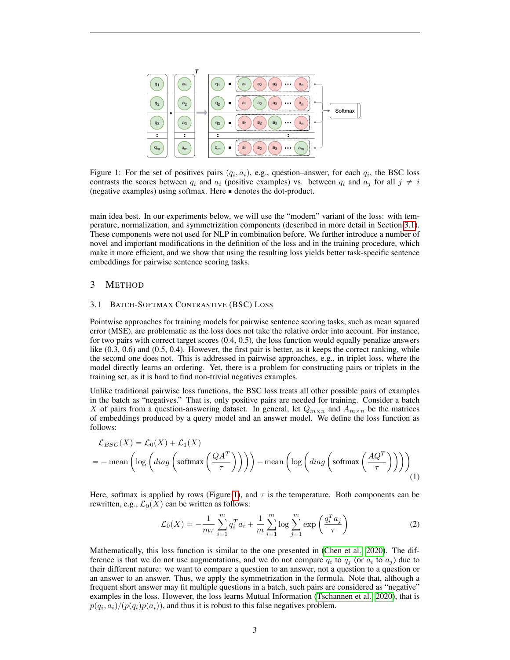<span id="page-2-1"></span>

Figure 1: For the set of positives pairs  $(q_i, a_i)$ , e.g., question–answer, for each  $q_i$ , the BSC loss contrasts the scores between  $q_i$  and  $a_i$  (positive examples) vs. between  $q_i$  and  $a_j$  for all  $j \neq i$ (negative examples) using softmax. Here ' denotes the dot-product.

main idea best. In our experiments below, we will use the "modern" variant of the loss: with temperature, normalization, and symmetrization components (described in more detail in Section [3.1\)](#page-2-0). These components were not used for NLP in combination before. We further introduce a number of novel and important modifications in the definition of the loss and in the training procedure, which make it more efficient, and we show that using the resulting loss yields better task-specific sentence embeddings for pairwise sentence scoring tasks.

## 3 METHOD

#### <span id="page-2-0"></span>3.1 BATCH-SOFTMAX CONTRASTIVE (BSC) LOSS

Pointwise approaches for training models for pairwise sentence scoring tasks, such as mean squared error (MSE), are problematic as the loss does not take the relative order into account. For instance, for two pairs with correct target scores (0.4, 0.5), the loss function would equally penalize answers like (0.3, 0.6) and (0.5, 0.4). However, the first pair is better, as it keeps the correct ranking, while the second one does not. This is addressed in pairwise approaches, e.g., in triplet loss, where the model directly learns an ordering. Yet, there is a problem for constructing pairs or triplets in the training set, as it is hard to find non-trivial negatives examples.

Unlike traditional pairwise loss functions, the BSC loss treats all other possible pairs of examples in the batch as "negatives." That is, only positive pairs are needed for training. Consider a batch X of pairs from a question-answering dataset. In general, let  $Q_{m\times n}$  and  $A_{m\times n}$  be the matrices of embeddings produced by a query model and an answer model. We define the loss function as follows:

$$
\mathcal{L}_{BSC}(X) = \mathcal{L}_0(X) + \mathcal{L}_1(X)
$$
  
= - mean  $\left( \log \left( diag \left( softmax \left( \frac{QA^T}{\tau} \right) \right) \right) \right)$  - mean  $\left( \log \left( diag \left( softmax \left( \frac{AQ^T}{\tau} \right) \right) \right) \right)$  (1)

Here, softmax is applied by rows (Figure [1\)](#page-2-1), and  $\tau$  is the temperature. Both components can be rewritten, e.g.,  $\mathcal{L}_0(X)$  can be written as follows:

<span id="page-2-3"></span><span id="page-2-2"></span>
$$
\mathcal{L}_0(X) = -\frac{1}{m\tau} \sum_{i=1}^m q_i^T a_i + \frac{1}{m} \sum_{i=1}^m \log \sum_{j=1}^m \exp\left(\frac{q_i^T a_j}{\tau}\right)
$$
(2)

Mathematically, this loss function is similar to the one presented in [\(Chen et al., 2020\)](#page-9-4). The difference is that we do not use augmentations, and we do not compare  $q_i$  to  $q_j$  (or  $a_i$  to  $a_j$ ) due to their different nature: we want to compare a question to an answer, not a question to a question or an answer to an answer. Thus, we apply the symmetrization in the formula. Note that, although a frequent short answer may fit multiple questions in a batch, such pairs are considered as "negative" examples in the loss. However, the loss learns Mutual Information [\(Tschannen et al., 2020\)](#page-10-7), that is  $p(q_i, a_i)/(p(q_i)p(a_i))$ , and thus it is robust to this false negatives problem.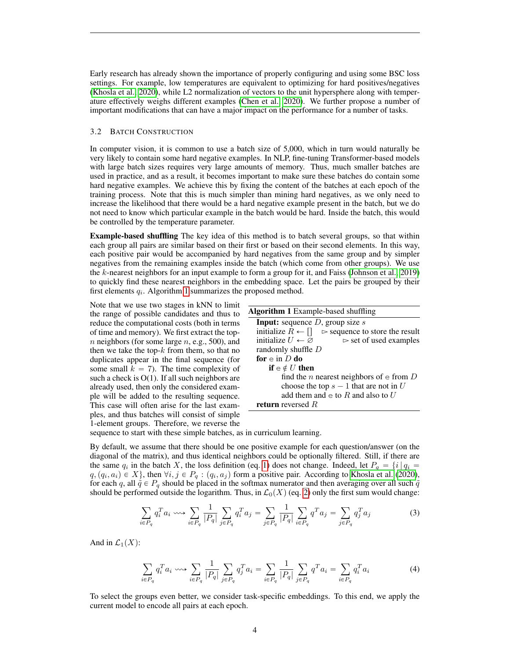Early research has already shown the importance of properly configuring and using some BSC loss settings. For example, low temperatures are equivalent to optimizing for hard positives/negatives [\(Khosla et al., 2020\)](#page-10-8), while L2 normalization of vectors to the unit hypersphere along with temperature effectively weighs different examples [\(Chen et al., 2020\)](#page-9-4). We further propose a number of important modifications that can have a major impact on the performance for a number of tasks.

#### 3.2 BATCH CONSTRUCTION

In computer vision, it is common to use a batch size of 5,000, which in turn would naturally be very likely to contain some hard negative examples. In NLP, fine-tuning Transformer-based models with large batch sizes requires very large amounts of memory. Thus, much smaller batches are used in practice, and as a result, it becomes important to make sure these batches do contain some hard negative examples. We achieve this by fixing the content of the batches at each epoch of the training process. Note that this is much simpler than mining hard negatives, as we only need to increase the likelihood that there would be a hard negative example present in the batch, but we do not need to know which particular example in the batch would be hard. Inside the batch, this would be controlled by the temperature parameter.

Example-based shuffling The key idea of this method is to batch several groups, so that within each group all pairs are similar based on their first or based on their second elements. In this way, each positive pair would be accompanied by hard negatives from the same group and by simpler negatives from the remaining examples inside the batch (which come from other groups). We use the k-nearest neighbors for an input example to form a group for it, and Faiss [\(Johnson et al., 2019\)](#page-10-10) to quickly find these nearest neighbors in the embedding space. Let the pairs be grouped by their first elements  $q_i$ . Algorithm [1](#page-3-0) summarizes the proposed method.

Note that we use two stages in kNN to limit the range of possible candidates and thus to reduce the computational costs (both in terms of time and memory). We first extract the top $n$  neighbors (for some large  $n$ , e.g., 500), and then we take the top- $k$  from them, so that no duplicates appear in the final sequence (for some small  $k = 7$ ). The time complexity of such a check is O(1). If all such neighbors are already used, then only the considered example will be added to the resulting sequence. This case will often arise for the last examples, and thus batches will consist of simple 1-element groups. Therefore, we reverse the

<span id="page-3-0"></span>

sequence to start with these simple batches, as in curriculum learning.

By default, we assume that there should be one positive example for each question/answer (on the diagonal of the matrix), and thus identical neighbors could be optionally filtered. Still, if there are the same  $q_i$  in the batch X, the loss definition (eq. [1\)](#page-2-2) does not change. Indeed, let  $P_q = \{i \mid q_i = \}$  $q, (q_i, a_i) \in X$ , then  $\forall i, j \in P_q : (q_i, a_j)$  form a positive pair. According to [Khosla et al.](#page-10-8) [\(2020\)](#page-10-8), for each q, all  $\tilde{q} \in P_q$  should be placed in the softmax numerator and then averaging over all such  $\tilde{q}$ should be performed outside the logarithm. Thus, in  $\mathcal{L}_0(X)$  (eq. [2\)](#page-2-3) only the first sum would change:

$$
\sum_{i \in P_q} q_i^T a_i \leadsto \sum_{i \in P_q} \frac{1}{|P_q|} \sum_{j \in P_q} q_i^T a_j = \sum_{j \in P_q} \frac{1}{|P_q|} \sum_{i \in P_q} q^T a_j = \sum_{j \in P_q} q_j^T a_j \tag{3}
$$

And in  $\mathcal{L}_1(X)$ :

$$
\sum_{i \in P_q} q_i^T a_i \cdots \sum_{i \in P_q} \frac{1}{|P_q|} \sum_{j \in P_q} q_j^T a_i = \sum_{i \in P_q} \frac{1}{|P_q|} \sum_{j \in P_q} q^T a_i = \sum_{i \in P_q} q_i^T a_i \tag{4}
$$

To select the groups even better, we consider task-specific embeddings. To this end, we apply the current model to encode all pairs at each epoch.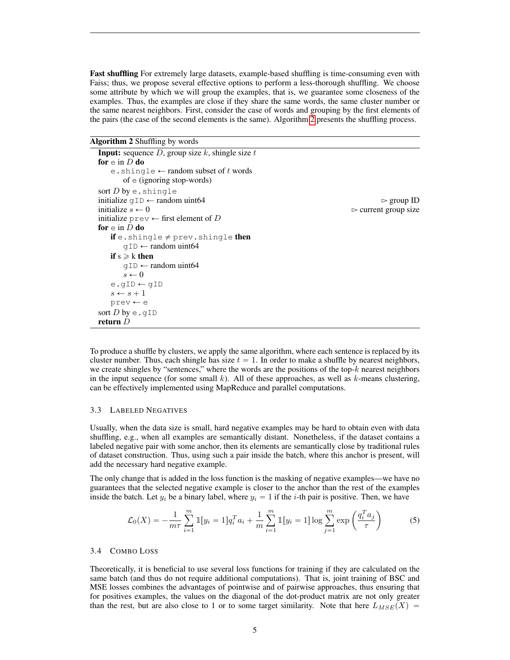Fast shuffling For extremely large datasets, example-based shuffling is time-consuming even with Faiss; thus, we propose several effective options to perform a less-thorough shuffling. We choose some attribute by which we will group the examples, that is, we guarantee some closeness of the examples. Thus, the examples are close if they share the same words, the same cluster number or the same nearest neighbors. First, consider the case of words and grouping by the first elements of the pairs (the case of the second elements is the same). Algorithm [2](#page-4-0) presents the shuffling process.

Algorithm 2 Shuffling by words

<span id="page-4-0"></span>

| <b>Input:</b> sequence D, group size k, shingle size t |                                     |
|--------------------------------------------------------|-------------------------------------|
| for $e$ in D do                                        |                                     |
| e.shingle $\leftarrow$ random subset of t words        |                                     |
| of $\in$ (ignoring stop-words)                         |                                     |
| sort $D$ by e. shingle                                 |                                     |
| initialize $qID \leftarrow \text{random unit64}$       | $\triangleright$ group ID           |
| initialize $s \leftarrow 0$                            | $\triangleright$ current group size |
| initialize prev $\leftarrow$ first element of D        |                                     |
| for $e$ in D do                                        |                                     |
| <b>if</b> e.shingle $\neq$ prev.shingle <b>then</b>    |                                     |
| $qID \leftarrow random$ uint64                         |                                     |
| if $s \ge k$ then                                      |                                     |
| $qID \leftarrow random$ uint64                         |                                     |
| $s \leftarrow 0$                                       |                                     |
| e.qID $\leftarrow$ qID                                 |                                     |
| $s \leftarrow s + 1$                                   |                                     |
| $prev \leftarrow e$                                    |                                     |
| sort D by $\epsilon$ . qID                             |                                     |
| return $D$                                             |                                     |

To produce a shuffle by clusters, we apply the same algorithm, where each sentence is replaced by its cluster number. Thus, each shingle has size  $t = 1$ . In order to make a shuffle by nearest neighbors, we create shingles by "sentences," where the words are the positions of the top- $k$  nearest neighbors in the input sequence (for some small k). All of these approaches, as well as  $k$ -means clustering, can be effectively implemented using MapReduce and parallel computations.

#### 3.3 LABELED NEGATIVES

Usually, when the data size is small, hard negative examples may be hard to obtain even with data shuffling, e.g., when all examples are semantically distant. Nonetheless, if the dataset contains a labeled negative pair with some anchor, then its elements are semantically close by traditional rules of dataset construction. Thus, using such a pair inside the batch, where this anchor is present, will add the necessary hard negative example.

The only change that is added in the loss function is the masking of negative examples—we have no guarantees that the selected negative example is closer to the anchor than the rest of the examples inside the batch. Let  $y_i$  be a binary label, where  $y_i = 1$  if the *i*-th pair is positive. Then, we have

<span id="page-4-1"></span>
$$
\mathcal{L}_0(X) = -\frac{1}{m\tau} \sum_{i=1}^m \mathbb{1}[y_i = 1] q_i^T a_i + \frac{1}{m} \sum_{i=1}^m \mathbb{1}[y_i = 1] \log \sum_{j=1}^m \exp\left(\frac{q_i^T a_j}{\tau}\right)
$$
(5)

## 3.4 COMBO LOSS

Theoretically, it is beneficial to use several loss functions for training if they are calculated on the same batch (and thus do not require additional computations). That is, joint training of BSC and MSE losses combines the advantages of pointwise and of pairwise approaches, thus ensuring that for positives examples, the values on the diagonal of the dot-product matrix are not only greater than the rest, but are also close to 1 or to some target similarity. Note that here  $L_{MSE}(X)$  =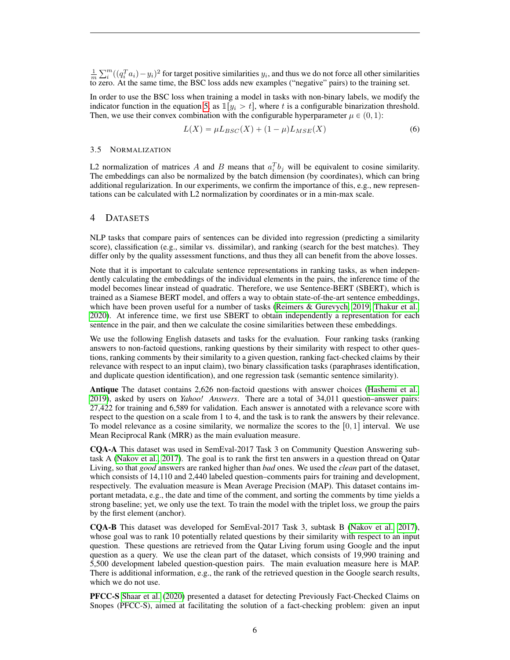$\frac{1}{m}$  $\sum_{i=1}^{m} ((q_i^T a_i) - y_i)^2$  for target positive similarities  $y_i$ , and thus we do not force all other similarities to zero. At the same time, the BSC loss adds new examples ("negative" pairs) to the training set.

In order to use the BSC loss when training a model in tasks with non-binary labels, we modify the indicator function in the equation [5,](#page-4-1) as  $\mathbb{I}[y_i > t]$ , where t is a configurable binarization threshold. Then, we use their convex combination with the configurable hyperparameter  $\mu \in (0, 1)$ :

$$
L(X) = \mu L_{BSC}(X) + (1 - \mu) L_{MSE}(X)
$$
\n(6)

### 3.5 NORMALIZATION

L2 normalization of matrices A and B means that  $a_i^T b_j$  will be equivalent to cosine similarity. The embeddings can also be normalized by the batch dimension (by coordinates), which can bring additional regularization. In our experiments, we confirm the importance of this, e.g., new representations can be calculated with L2 normalization by coordinates or in a min-max scale.

#### 4 DATASETS

NLP tasks that compare pairs of sentences can be divided into regression (predicting a similarity score), classification (e.g., similar vs. dissimilar), and ranking (search for the best matches). They differ only by the quality assessment functions, and thus they all can benefit from the above losses.

Note that it is important to calculate sentence representations in ranking tasks, as when independently calculating the embeddings of the individual elements in the pairs, the inference time of the model becomes linear instead of quadratic. Therefore, we use Sentence-BERT (SBERT), which is trained as a Siamese BERT model, and offers a way to obtain state-of-the-art sentence embeddings, which have been proven useful for a number of tasks [\(Reimers & Gurevych, 2019;](#page-10-11) [Thakur et al.,](#page-10-12) [2020\)](#page-10-12). At inference time, we first use SBERT to obtain independently a representation for each sentence in the pair, and then we calculate the cosine similarities between these embeddings.

We use the following English datasets and tasks for the evaluation. Four ranking tasks (ranking answers to non-factoid questions, ranking questions by their similarity with respect to other questions, ranking comments by their similarity to a given question, ranking fact-checked claims by their relevance with respect to an input claim), two binary classification tasks (paraphrases identification, and duplicate question identification), and one regression task (semantic sentence similarity).

Antique The dataset contains 2,626 non-factoid questions with answer choices [\(Hashemi et al.,](#page-9-9) [2019\)](#page-9-9), asked by users on *Yahoo! Answers*. There are a total of 34,011 question–answer pairs: 27,422 for training and 6,589 for validation. Each answer is annotated with a relevance score with respect to the question on a scale from 1 to 4, and the task is to rank the answers by their relevance. To model relevance as a cosine similarity, we normalize the scores to the  $[0, 1]$  interval. We use Mean Reciprocal Rank (MRR) as the main evaluation measure.

CQA-A This dataset was used in SemEval-2017 Task 3 on Community Question Answering subtask A [\(Nakov et al., 2017\)](#page-10-13). The goal is to rank the first ten answers in a question thread on Qatar Living, so that *good* answers are ranked higher than *bad* ones. We used the *clean* part of the dataset, which consists of 14,110 and 2,440 labeled question–comments pairs for training and development, respectively. The evaluation measure is Mean Average Precision (MAP). This dataset contains important metadata, e.g., the date and time of the comment, and sorting the comments by time yields a strong baseline; yet, we only use the text. To train the model with the triplet loss, we group the pairs by the first element (anchor).

CQA-B This dataset was developed for SemEval-2017 Task 3, subtask B [\(Nakov et al., 2017\)](#page-10-13), whose goal was to rank 10 potentially related questions by their similarity with respect to an input question. These questions are retrieved from the Qatar Living forum using Google and the input question as a query. We use the clean part of the dataset, which consists of 19,990 training and 5,500 development labeled question-question pairs. The main evaluation measure here is MAP. There is additional information, e.g., the rank of the retrieved question in the Google search results, which we do not use.

PFCC-S [Shaar et al.](#page-10-14) [\(2020\)](#page-10-14) presented a dataset for detecting Previously Fact-Checked Claims on Snopes (PFCC-S), aimed at facilitating the solution of a fact-checking problem: given an input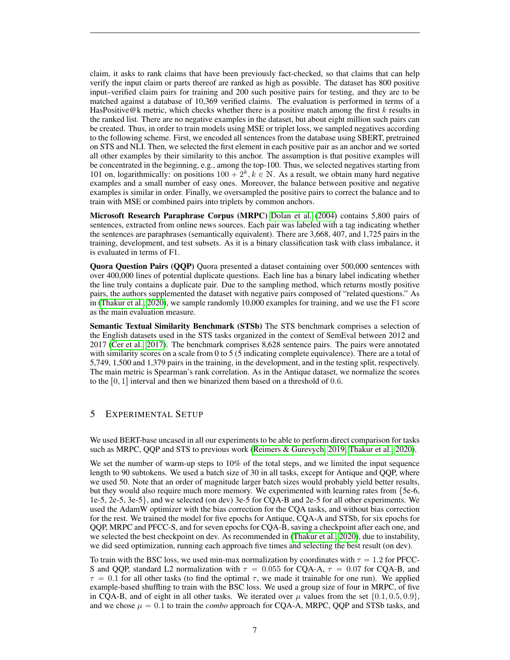claim, it asks to rank claims that have been previously fact-checked, so that claims that can help verify the input claim or parts thereof are ranked as high as possible. The dataset has 800 positive input–verified claim pairs for training and 200 such positive pairs for testing, and they are to be matched against a database of 10,369 verified claims. The evaluation is performed in terms of a HasPositive@k metric, which checks whether there is a positive match among the first  $k$  results in the ranked list. There are no negative examples in the dataset, but about eight million such pairs can be created. Thus, in order to train models using MSE or triplet loss, we sampled negatives according to the following scheme. First, we encoded all sentences from the database using SBERT, pretrained on STS and NLI. Then, we selected the first element in each positive pair as an anchor and we sorted all other examples by their similarity to this anchor. The assumption is that positive examples will be concentrated in the beginning, e.g., among the top-100. Thus, we selected negatives starting from 101 on, logarithmically: on positions  $100 + 2^k$ ,  $k \in \mathbb{N}$ . As a result, we obtain many hard negative examples and a small number of easy ones. Moreover, the balance between positive and negative examples is similar in order. Finally, we oversampled the positive pairs to correct the balance and to train with MSE or combined pairs into triplets by common anchors.

Microsoft Research Paraphrase Corpus (MRPC) [Dolan et al.](#page-9-10) [\(2004\)](#page-9-10) contains 5,800 pairs of sentences, extracted from online news sources. Each pair was labeled with a tag indicating whether the sentences are paraphrases (semantically equivalent). There are 3,668, 407, and 1,725 pairs in the training, development, and test subsets. As it is a binary classification task with class imbalance, it is evaluated in terms of F1.

Quora Question Pairs (QQP) Quora presented a dataset containing over 500,000 sentences with over 400,000 lines of potential duplicate questions. Each line has a binary label indicating whether the line truly contains a duplicate pair. Due to the sampling method, which returns mostly positive pairs, the authors supplemented the dataset with negative pairs composed of "related questions." As in [\(Thakur et al., 2020\)](#page-10-12), we sample randomly 10,000 examples for training, and we use the F1 score as the main evaluation measure.

Semantic Textual Similarity Benchmark (STSb) The STS benchmark comprises a selection of the English datasets used in the STS tasks organized in the context of SemEval between 2012 and 2017 [\(Cer et al., 2017\)](#page-9-11). The benchmark comprises 8,628 sentence pairs. The pairs were annotated with similarity scores on a scale from 0 to 5 (5 indicating complete equivalence). There are a total of 5,749, 1,500 and 1,379 pairs in the training, in the development, and in the testing split, respectively. The main metric is Spearman's rank correlation. As in the Antique dataset, we normalize the scores to the  $[0, 1]$  interval and then we binarized them based on a threshold of 0.6.

## 5 EXPERIMENTAL SETUP

We used BERT-base uncased in all our experiments to be able to perform direct comparison for tasks such as MRPC, QQP and STS to previous work [\(Reimers & Gurevych, 2019;](#page-10-11) [Thakur et al., 2020\)](#page-10-12).

We set the number of warm-up steps to 10% of the total steps, and we limited the input sequence length to 90 subtokens. We used a batch size of 30 in all tasks, except for Antique and QQP, where we used 50. Note that an order of magnitude larger batch sizes would probably yield better results, but they would also require much more memory. We experimented with learning rates from {5e-6, 1e-5, 2e-5, 3e-5}, and we selected (on dev) 3e-5 for CQA-B and 2e-5 for all other experiments. We used the AdamW optimizer with the bias correction for the CQA tasks, and without bias correction for the rest. We trained the model for five epochs for Antique, CQA-A and STSb, for six epochs for QQP, MRPC and PFCC-S, and for seven epochs for CQA-B, saving a checkpoint after each one, and we selected the best checkpoint on dev. As recommended in [\(Thakur et al., 2020\)](#page-10-12), due to instability, we did seed optimization, running each approach five times and selecting the best result (on dev).

To train with the BSC loss, we used min-max normalization by coordinates with  $\tau = 1.2$  for PFCC-S and QQP, standard L2 normalization with  $\tau = 0.055$  for CQA-A,  $\tau = 0.07$  for CQA-B, and  $\tau = 0.1$  for all other tasks (to find the optimal  $\tau$ , we made it trainable for one run). We applied example-based shuffling to train with the BSC loss. We used a group size of four in MRPC, of five in CQA-B, and of eight in all other tasks. We iterated over  $\mu$  values from the set  $\{0.1, 0.5, 0.9\}$ , and we chose  $\mu = 0.1$  to train the *combo* approach for CQA-A, MRPC, QQP and STSb tasks, and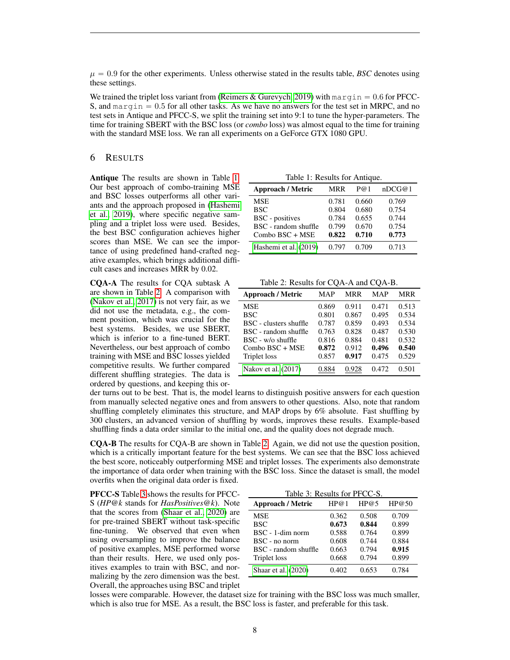$\mu = 0.9$  for the other experiments. Unless otherwise stated in the results table, *BSC* denotes using these settings.

We trained the triplet loss variant from [\(Reimers & Gurevych, 2019\)](#page-10-11) with margin  $= 0.6$  for PFCC-S, and  $\text{margin} = 0.5$  for all other tasks. As we have no answers for the test set in MRPC, and no test sets in Antique and PFCC-S, we split the training set into 9:1 to tune the hyper-parameters. The time for training SBERT with the BSC loss (or *combo* loss) was almost equal to the time for training with the standard MSE loss. We ran all experiments on a GeForce GTX 1080 GPU.

## 6 RESULTS

Antique The results are shown in Table [1.](#page-7-0) Our best approach of combo-training MSE and BSC losses outperforms all other variants and the approach proposed in [\(Hashemi](#page-9-9) [et al., 2019\)](#page-9-9), where specific negative sampling and a triplet loss were used. Besides, the best BSC configuration achieves higher scores than MSE. We can see the importance of using predefined hand-crafted negative examples, which brings additional difficult cases and increases MRR by 0.02.

CQA-A The results for CQA subtask A are shown in Table [2.](#page-7-1) A comparison with [\(Nakov et al., 2017\)](#page-10-13) is not very fair, as we did not use the metadata, e.g., the comment position, which was crucial for the best systems. Besides, we use SBERT, which is inferior to a fine-tuned BERT. Nevertheless, our best approach of combo training with MSE and BSC losses yielded competitive results. We further compared different shuffling strategies. The data is ordered by questions, and keeping this or-

Table 1: Results for Antique.

<span id="page-7-0"></span>

| <b>Approach / Metric</b> | <b>MRR</b> | P@1   | nDCG@1 |
|--------------------------|------------|-------|--------|
| <b>MSE</b>               | 0.781      | 0.660 | 0.769  |
| <b>BSC</b>               | 0.804      | 0.680 | 0.754  |
| <b>BSC</b> - positives   | 0.784      | 0.655 | 0.744  |
| BSC - random shuffle     | 0.799      | 0.670 | 0.754  |
| Combo BSC + MSE          | 0.822      | 0.710 | 0.773  |
| Hashemi et al. (2019)    | 0.797      | 0.709 | 0.713  |

Table 2: Results for CQA-A and CQA-B.

<span id="page-7-1"></span>

| <b>Approach / Metric</b> | MAP   | MRR   | MAP   | <b>MRR</b> |
|--------------------------|-------|-------|-------|------------|
| <b>MSE</b>               | 0.869 | 0.911 | 0.471 | 0.513      |
| <b>BSC</b>               | 0.801 | 0.867 | 0.495 | 0.534      |
| BSC - clusters shuffle   | 0.787 | 0.859 | 0.493 | 0.534      |
| BSC - random shuffle     | 0.763 | 0.828 | 0.487 | 0.530      |
| BSC - w/o shuffle        | 0.816 | 0.884 | 0.481 | 0.532      |
| Combo BSC + MSE          | 0.872 | 0.912 | 0.496 | 0.540      |
| <b>Triplet</b> loss      | 0.857 | 0.917 | 0.475 | 0.529      |
| Nakov et al. (2017)      | .884  | 0.928 | 0.472 | 0.501      |

der turns out to be best. That is, the model learns to distinguish positive answers for each question from manually selected negative ones and from answers to other questions. Also, note that random shuffling completely eliminates this structure, and MAP drops by 6% absolute. Fast shuffling by 300 clusters, an advanced version of shuffling by words, improves these results. Example-based shuffling finds a data order similar to the initial one, and the quality does not degrade much.

CQA-B The results for CQA-B are shown in Table [2.](#page-7-1) Again, we did not use the question position, which is a critically important feature for the best systems. We can see that the BSC loss achieved the best score, noticeably outperforming MSE and triplet losses. The experiments also demonstrate the importance of data order when training with the BSC loss. Since the dataset is small, the model overfits when the original data order is fixed.

PFCC-S Table [3](#page-7-2) shows the results for PFCC-S (*HP@k* stands for *HasPositives@k*). Note that the scores from [\(Shaar et al., 2020\)](#page-10-14) are for pre-trained SBERT without task-specific fine-tuning. We observed that even when using oversampling to improve the balance of positive examples, MSE performed worse than their results. Here, we used only positives examples to train with BSC, and normalizing by the zero dimension was the best. Overall, the approaches using BSC and triplet

<span id="page-7-2"></span>

| Table 3: Results for PFCC-S. |       |       |       |
|------------------------------|-------|-------|-------|
| <b>Approach / Metric</b>     | HP@1  | HP@5  | HP@50 |
| <b>MSE</b>                   | 0.362 | 0.508 | 0.709 |
| <b>BSC</b>                   | 0.673 | 0.844 | 0.899 |
| BSC - 1-dim norm             | 0.588 | 0.764 | 0.899 |
| $BSC - no norm$              | 0.608 | 0.744 | 0.884 |
| BSC - random shuffle         | 0.663 | 0.794 | 0.915 |
| <b>Triplet</b> loss          | 0.668 | 0.794 | 0.899 |
| Shaar et al. (2020)          | 0.402 | 0.653 | 0.784 |

losses were comparable. However, the dataset size for training with the BSC loss was much smaller, which is also true for MSE. As a result, the BSC loss is faster, and preferable for this task.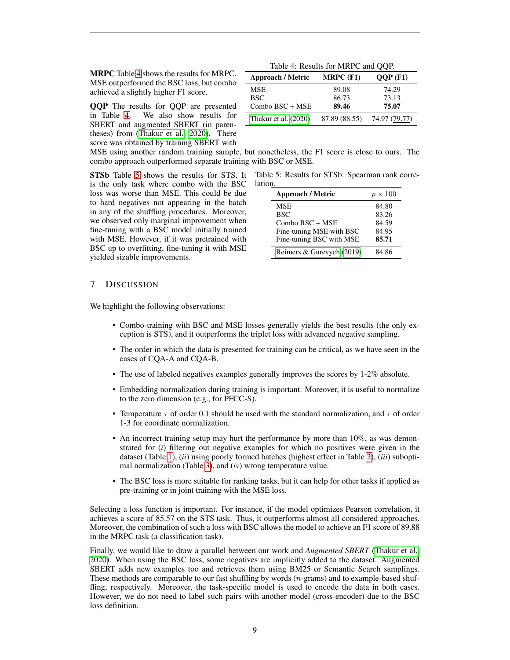MRPC Table [4](#page-8-0) shows the results for MRPC. MSE outperformed the BSC loss, but combo achieved a slightly higher F1 score.

**QQP** The results for QQP are presented<br>in Table 4. We also show results for We also show results for SBERT and augmented SBERT (in parentheses) from [\(Thakur et al., 2020\)](#page-10-12). There score was obtained by training SBERT with

<span id="page-8-0"></span>

| Table 4: Results for MRPC and QQP. |               |               |  |
|------------------------------------|---------------|---------------|--|
| Approach / Metric                  | $MRPC$ (F1)   | $OOP$ (F1)    |  |
| MSE                                | 89.08         | 74.29         |  |
| <b>BSC</b>                         | 86.73         | 73.13         |  |
| Combo BSC + MSE                    | 89.46         | 75.07         |  |
| Thakur et al. (2020)               | 87.89 (88.55) | 74.97 (79.77) |  |

MSE using another random training sample, but nonetheless, the F1 score is close to ours. The combo approach outperformed separate training with BSC or MSE.

is the only task where combo with the BSC loss was worse than MSE. This could be due to hard negatives not appearing in the batch in any of the shuffling procedures. Moreover, we observed only marginal improvement when fine-tuning with a BSC model initially trained with MSE. However, if it was pretrained with BSC up to overfitting, fine-tuning it with MSE yielded sizable improvements.

**STSb** Table [5](#page-8-1) shows the results for STS. It Table 5: Results for STSb: Spearman rank correlation.

<span id="page-8-1"></span>

| <b>Approach / Metric</b>  | $\rho \times 100$ |
|---------------------------|-------------------|
| <b>MSE</b>                | 84.80             |
| <b>BSC</b>                | 83.26             |
| Combo BSC + MSE           | 84.59             |
| Fine-tuning MSE with BSC  | 84.95             |
| Fine-tuning BSC with MSE  | 85.71             |
| Reimers & Gurevych (2019) | 84 86             |

## 7 DISCUSSION

We highlight the following observations:

- Combo-training with BSC and MSE losses generally yields the best results (the only exception is STS), and it outperforms the triplet loss with advanced negative sampling.
- The order in which the data is presented for training can be critical, as we have seen in the cases of CQA-A and CQA-B.
- The use of labeled negatives examples generally improves the scores by 1-2% absolute.
- Embedding normalization during training is important. Moreover, it is useful to normalize to the zero dimension (e.g., for PFCC-S).
- Temperature  $\tau$  of order 0.1 should be used with the standard normalization, and  $\tau$  of order 1-3 for coordinate normalization.
- An incorrect training setup may hurt the performance by more than 10%, as was demonstrated for (*i*) filtering out negative examples for which no positives were given in the dataset (Table [1\)](#page-7-0), (*ii*) using poorly formed batches (highest effect in Table [2\)](#page-7-1), (*iii*) suboptimal normalization (Table [3\)](#page-7-2), and (*iv*) wrong temperature value.
- The BSC loss is more suitable for ranking tasks, but it can help for other tasks if applied as pre-training or in joint training with the MSE loss.

Selecting a loss function is important. For instance, if the model optimizes Pearson correlation, it achieves a score of 85.57 on the STS task. Thus, it outperforms almost all considered approaches. Moreover, the combination of such a loss with BSC allows the model to achieve an F1 score of 89.88 in the MRPC task (a classification task).

Finally, we would like to draw a parallel between our work and *Augmented SBERT* [\(Thakur et al.,](#page-10-12) [2020\)](#page-10-12). When using the BSC loss, some negatives are implicitly added to the dataset. Augmented SBERT adds new examples too and retrieves them using BM25 or Semantic Search samplings. These methods are comparable to our fast shuffling by words  $(n$ -grams) and to example-based shuffling, respectively. Moreover, the task-specific model is used to encode the data in both cases. However, we do not need to label such pairs with another model (cross-encoder) due to the BSC loss definition.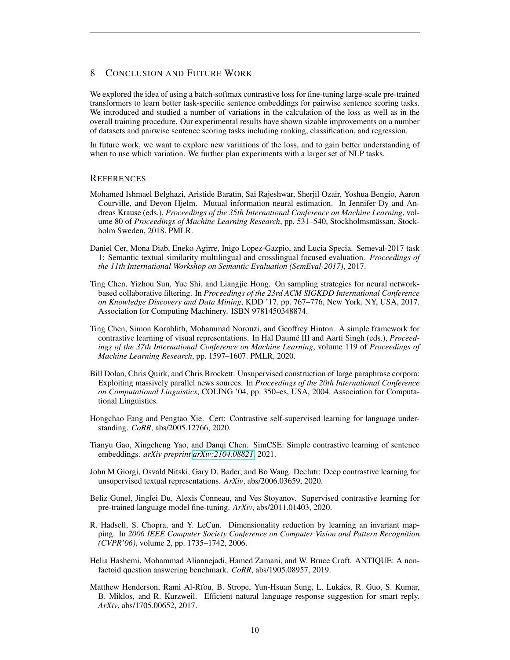# 8 CONCLUSION AND FUTURE WORK

We explored the idea of using a batch-softmax contrastive loss for fine-tuning large-scale pre-trained transformers to learn better task-specific sentence embeddings for pairwise sentence scoring tasks. We introduced and studied a number of variations in the calculation of the loss as well as in the overall training procedure. Our experimental results have shown sizable improvements on a number of datasets and pairwise sentence scoring tasks including ranking, classification, and regression.

In future work, we want to explore new variations of the loss, and to gain better understanding of when to use which variation. We further plan experiments with a larger set of NLP tasks.

### **REFERENCES**

- <span id="page-9-3"></span>Mohamed Ishmael Belghazi, Aristide Baratin, Sai Rajeshwar, Sherjil Ozair, Yoshua Bengio, Aaron Courville, and Devon Hjelm. Mutual information neural estimation. In Jennifer Dy and Andreas Krause (eds.), *Proceedings of the 35th International Conference on Machine Learning*, volume 80 of *Proceedings of Machine Learning Research*, pp. 531–540, Stockholmsmassan, Stock- ¨ holm Sweden, 2018. PMLR.
- <span id="page-9-11"></span>Daniel Cer, Mona Diab, Eneko Agirre, Inigo Lopez-Gazpio, and Lucia Specia. Semeval-2017 task 1: Semantic textual similarity multilingual and crosslingual focused evaluation. *Proceedings of the 11th International Workshop on Semantic Evaluation (SemEval-2017)*, 2017.
- <span id="page-9-2"></span>Ting Chen, Yizhou Sun, Yue Shi, and Liangjie Hong. On sampling strategies for neural networkbased collaborative filtering. In *Proceedings of the 23rd ACM SIGKDD International Conference on Knowledge Discovery and Data Mining*, KDD '17, pp. 767–776, New York, NY, USA, 2017. Association for Computing Machinery. ISBN 9781450348874.
- <span id="page-9-4"></span>Ting Chen, Simon Kornblith, Mohammad Norouzi, and Geoffrey Hinton. A simple framework for contrastive learning of visual representations. In Hal Daumé III and Aarti Singh (eds.), *Proceedings of the 37th International Conference on Machine Learning*, volume 119 of *Proceedings of Machine Learning Research*, pp. 1597–1607. PMLR, 2020.
- <span id="page-9-10"></span>Bill Dolan, Chris Quirk, and Chris Brockett. Unsupervised construction of large paraphrase corpora: Exploiting massively parallel news sources. In *Proceedings of the 20th International Conference on Computational Linguistics*, COLING '04, pp. 350–es, USA, 2004. Association for Computational Linguistics.
- <span id="page-9-7"></span>Hongchao Fang and Pengtao Xie. Cert: Contrastive self-supervised learning for language understanding. *CoRR*, abs/2005.12766, 2020.
- <span id="page-9-8"></span>Tianyu Gao, Xingcheng Yao, and Danqi Chen. SimCSE: Simple contrastive learning of sentence embeddings. *arXiv preprint [arXiv:2104.08821](http://arxiv.org/abs/2104.08821)*, 2021.
- <span id="page-9-6"></span>John M Giorgi, Osvald Nitski, Gary D. Bader, and Bo Wang. Declutr: Deep contrastive learning for unsupervised textual representations. *ArXiv*, abs/2006.03659, 2020.
- <span id="page-9-5"></span>Beliz Gunel, Jingfei Du, Alexis Conneau, and Ves Stoyanov. Supervised contrastive learning for pre-trained language model fine-tuning. *ArXiv*, abs/2011.01403, 2020.
- <span id="page-9-0"></span>R. Hadsell, S. Chopra, and Y. LeCun. Dimensionality reduction by learning an invariant mapping. In *2006 IEEE Computer Society Conference on Computer Vision and Pattern Recognition (CVPR'06)*, volume 2, pp. 1735–1742, 2006.
- <span id="page-9-9"></span>Helia Hashemi, Mohammad Aliannejadi, Hamed Zamani, and W. Bruce Croft. ANTIQUE: A nonfactoid question answering benchmark. *CoRR*, abs/1905.08957, 2019.
- <span id="page-9-1"></span>Matthew Henderson, Rami Al-Rfou, B. Strope, Yun-Hsuan Sung, L. Lukacs, R. Guo, S. Kumar, ´ B. Miklos, and R. Kurzweil. Efficient natural language response suggestion for smart reply. *ArXiv*, abs/1705.00652, 2017.